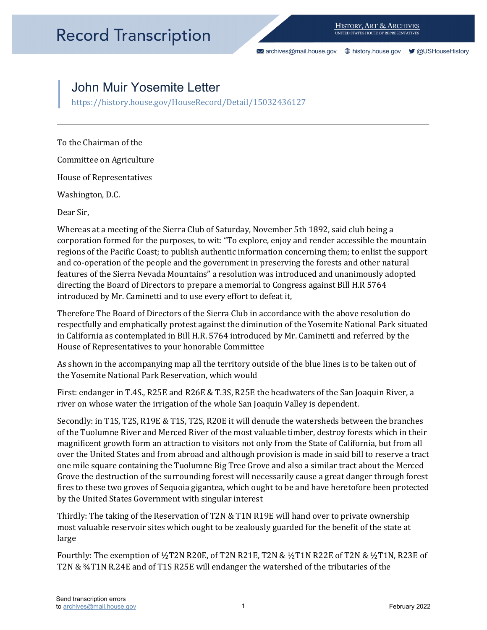[archives@mail.house.gov](mailto:archives@mail.house.gov) [history.house.gov](https://history.house.gov/) [@USHouseHistory](https://twitter.com/ushousehistory/) 

## John Muir Yosemite Letter

https://history.house.gov/HouseRecord/Detail/15032436127<br>To the Chairman of the

Committee on Agriculture

House of Representatives

Washington, D.C.

Dear Sir,

 introduced by Mr. Caminetti and to use every effort to defeat it, Whereas at a meeting of the Sierra Club of Saturday, November 5th 1892, said club being a corporation formed for the purposes, to wit: "To explore, enjoy and render accessible the mountain regions of the Pacific Coast; to publish authentic information concerning them; to enlist the support and co-operation of the people and the government in preserving the forests and other natural features of the Sierra Nevada Mountains" a resolution was introduced and unanimously adopted directing the Board of Directors to prepare a memorial to Congress against Bill H.R 5764

 respectfully and emphatically protest against the diminution of the Yosemite National Park situated Therefore The Board of Directors of the Sierra Club in accordance with the above resolution do in California as contemplated in Bill H.R. 5764 introduced by Mr. Caminetti and referred by the House of Representatives to your honorable Committee

As shown in the accompanying map all the territory outside of the blue lines is to be taken out of the Yosemite National Park Reservation, which would

First: endanger in T.4S., R25E and R26E & T.3S, R25E the headwaters of the San Joaquin River, a river on whose water the irrigation of the whole San Joaquin Valley is dependent.

 fires to these two groves of Sequoia gigantea, which ought to be and have heretofore been protected Secondly: in T1S, T2S, R19E & T1S, T2S, R20E it will denude the watersheds between the branches of the Tuolumne River and Merced River of the most valuable timber, destroy forests which in their magnificent growth form an attraction to visitors not only from the State of California, but from all over the United States and from abroad and although provision is made in said bill to reserve a tract one mile square containing the Tuolumne Big Tree Grove and also a similar tract about the Merced Grove the destruction of the surrounding forest will necessarily cause a great danger through forest by the United States Government with singular interest

Thirdly: The taking of the Reservation of T2N & T1N R19E will hand over to private ownership most valuable reservoir sites which ought to be zealously guarded for the benefit of the state at large

Fourthly: The exemption of ½T2N R20E, of T2N R21E, T2N & ½T1N R22E of T2N & ½T1N, R23E of T2N & ¾T1N R.24E and of T1S R25E will endanger the watershed of the tributaries of the